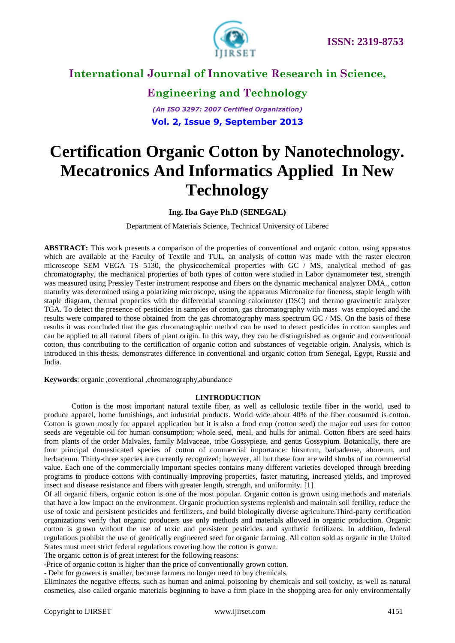

### **Engineering and Technology**

*(An ISO 3297: 2007 Certified Organization)* **Vol. 2, Issue 9, September 2013**

# **Certification Organic Cotton by Nanotechnology. Mecatronics And Informatics Applied In New Technology**

**Ing. Iba Gaye Ph.D (SENEGAL)**

Department of Materials Science, Technical University of Liberec

**ABSTRACT:** This work presents a comparison of the properties of conventional and organic cotton, using apparatus which are available at the Faculty of Textile and TUL, an analysis of cotton was made with the raster electron microscope SEM VEGA TS 5130, the physicochemical properties with GC / MS, analytical method of gas chromatography, the mechanical properties of both types of cotton were studied in Labor dynamometer test, strength was measured using Pressley Tester instrument response and fibers on the dynamic mechanical analyzer DMA., cotton maturity was determined using a polarizing microscope, using the apparatus Micronaire for fineness, staple length with staple diagram, thermal properties with the differential scanning calorimeter (DSC) and thermo gravimetric analyzer TGA. To detect the presence of pesticides in samples of cotton, gas chromatography with mass was employed and the results were compared to those obtained from the gas chromatography mass spectrum GC / MS. On the basis of these results it was concluded that the gas chromatographic method can be used to detect pesticides in cotton samples and can be applied to all natural fibers of plant origin. In this way, they can be distinguished as organic and conventional cotton, thus contributing to the certification of organic cotton and substances of vegetable origin. Analysis, which is introduced in this thesis, demonstrates difference in conventional and organic cotton from Senegal, Egypt, Russia and India.

**Keywords**: organic ,coventional ,chromatography,abundance

#### **I.INTRODUCTION**

Cotton is the most important natural textile fiber, as well as cellulosic textile fiber in the world, used to produce apparel, home furnishings, and industrial products. World wide about 40% of the fiber consumed is cotton. Cotton is grown mostly for apparel application but it is also a food crop (cotton seed) the major end uses for cotton seeds are vegetable oil for human consumption; whole seed, meal, and hulls for animal. Cotton fibers are seed hairs from plants of the order Malvales, family Malvaceae, tribe Gossypieae, and genus Gossypium. Botanically, there are four principal domesticated species of cotton of commercial importance: hirsutum, barbadense, aboreum, and herbaceum. Thirty-three species are currently recognized; however, all but these four are wild shrubs of no commercial value. Each one of the commercially important species contains many different varieties developed through breeding programs to produce cottons with continually improving properties, faster maturing, increased yields, and improved insect and disease resistance and fibers with greater length, strength, and uniformity. [1]

Of all organic fibers, organic cotton is one of the most popular*.* Organic cotton is grown using methods and materials that have a low impact on the environment. Organic production systems replenish and maintain soil fertility, reduce the use of toxic and persistent pesticides and fertilizers, and build biologically diverse agriculture.Third-party certification organizations verify that organic producers use only methods and materials allowed in organic production. Organic cotton is grown without the use of toxic and persistent pesticides and synthetic fertilizers. In addition, federal regulations prohibit the use of genetically engineered seed for organic farming. All cotton sold as organic in the United States must meet strict federal regulations covering how the cotton is grown.

The organic cotton is of great interest for the following reasons:

-Price of organic cotton is higher than the price of conventionally grown cotton.

- Debt for growers is smaller, because farmers no longer need to buy chemicals.

Eliminates the negative effects, such as human and animal poisoning by chemicals and soil toxicity, as well as natural cosmetics, also called organic materials beginning to have a firm place in the shopping area for only environmentally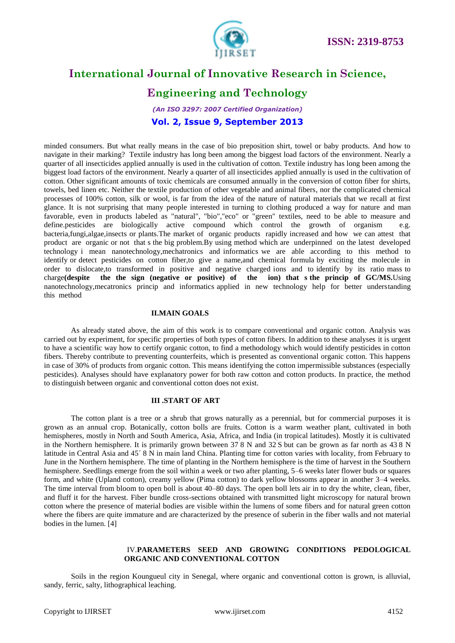

### **Engineering and Technology**

*(An ISO 3297: 2007 Certified Organization)* **Vol. 2, Issue 9, September 2013**

minded consumers. But what really means in the case of bio preposition shirt, towel or baby products. And how to navigate in their marking? Textile industry has long been among the biggest load factors of the environment. Nearly a quarter of all insecticides applied annually is used in the cultivation of cotton. Textile industry has long been among the biggest load factors of the environment. Nearly a quarter of all insecticides applied annually is used in the cultivation of cotton. Other significant amounts of toxic chemicals are consumed annually in the conversion of cotton fiber for shirts, towels, bed linen etc. Neither the textile production of other vegetable and animal fibers, nor the complicated chemical processes of 100% cotton, silk or wool, is far from the idea of the nature of natural materials that we recall at first glance. It is not surprising that many people interested in turning to clothing produced a way for nature and man favorable, even in products labeled as "natural", "bio","eco" or "green" textiles, need to be able to measure and define.pesticides are biologically active compound which control the growth of organism e.g. bacteria,fungi,algae,insects or plants.The market of organic products rapidly increased and how we can attest that product are organic or not that s the big problem.By using method which are underpinned on the latest developed technology i mean nanotechnology,mechatronics and informatics we are able according to this method to identify or detect pesticides on cotton fiber,to give a name,and chemical formula by exciting the molecule in order to dislocate,to transformed in positive and negative charged ions and to identify by its ratio mass to charge**(despite the the sign (negative or positive) of the ion) that s the princip of GC/MS.**Using nanotechnology,mecatronics princip and informatics applied in new technology help for better understanding this method

#### **II.MAIN GOALS**

As already stated above, the aim of this work is to compare conventional and organic cotton. Analysis was carried out by experiment, for specific properties of both types of cotton fibers. In addition to these analyses it is urgent to have a scientific way how to certify organic cotton, to find a methodology which would identify pesticides in cotton fibers. Thereby contribute to preventing counterfeits, which is presented as conventional organic cotton. This happens in case of 30% of products from organic cotton. This means identifying the cotton impermissible substances (especially pesticides). Analyses should have explanatory power for both raw cotton and cotton products. In practice, the method to distinguish between organic and conventional cotton does not exist.

#### **III .START OF ART**

The cotton plant is a tree or a shrub that grows naturally as a perennial, but for commercial purposes it is grown as an annual crop. Botanically, cotton bolls are fruits. Cotton is a warm weather plant, cultivated in both hemispheres, mostly in North and South America, Asia, Africa, and India (in tropical latitudes). Mostly it is cultivated in the Northern hemisphere. It is primarily grown between 37<sup>'</sup>8 N and 32<sup>'</sup>S but can be grown as far north as 43<sup>'</sup>8 N latitude in Central Asia and 45<sup> $\degree$ </sup> 8 N in main land China. Planting time for cotton varies with locality, from February to June in the Northern hemisphere. The time of planting in the Northern hemisphere is the time of harvest in the Southern hemisphere. Seedlings emerge from the soil within a week or two after planting, 5–6 weeks later flower buds or squares form, and white (Upland cotton), creamy yellow (Pima cotton) to dark yellow blossoms appear in another 3–4 weeks. The time interval from bloom to open boll is about 40–80 days. The open boll lets air in to dry the white, clean, fiber, and fluff it for the harvest. Fiber bundle cross-sections obtained with transmitted light microscopy for natural brown cotton where the presence of material bodies are visible within the lumens of some fibers and for natural green cotton where the fibers are quite immature and are characterized by the presence of suberin in the fiber walls and not material bodies in the lumen. [4]

#### IV.**PARAMETERS SEED AND GROWING CONDITIONS PEDOLOGICAL ORGANIC AND CONVENTIONAL COTTON**

Soils in the region Koungueul city in Senegal, where organic and conventional cotton is grown, is alluvial, sandy, ferric, salty, lithographical leaching.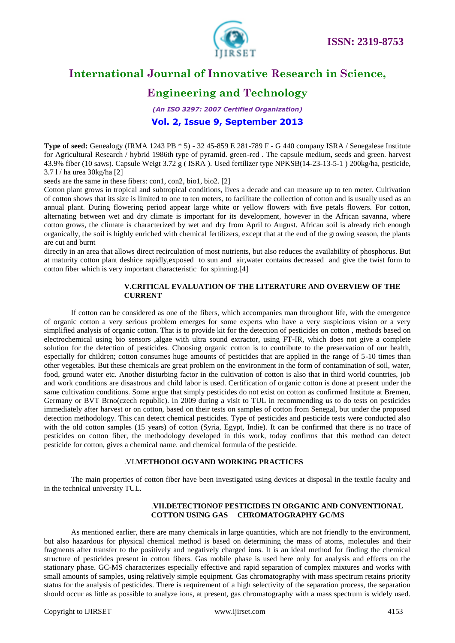

### **Engineering and Technology**

*(An ISO 3297: 2007 Certified Organization)* **Vol. 2, Issue 9, September 2013**

**Type of seed:** Genealogy (IRMA 1243 PB \* 5) - 32 45-859 E 281-789 F - G 440 company ISRA / Senegalese Institute for Agricultural Research / hybrid 1986th type of pyramid. green-red . The capsule medium, seeds and green. harvest 43.9% fiber (10 saws). Capsule Weigt 3.72 g ( ISRA ). Used fertilizer type NPKSB(14-23-13-5-1 ) 200kg/ha, pesticide,  $3.71/$  ha urea  $30$ kg/ha [2]

seeds are the same in these fibers: con1, con2, bio1, bio2. [2]

Cotton plant grows in tropical and subtropical conditions, lives a decade and can measure up to ten meter. Cultivation of cotton shows that its size is limited to one to ten meters, to facilitate the collection of cotton and is usually used as an annual plant. During flowering period appear large white or yellow flowers with five petals flowers. For cotton, alternating between wet and dry climate is important for its development, however in the African savanna, where cotton grows, the climate is characterized by wet and dry from April to August. African soil is already rich enough organically, the soil is highly enriched with chemical fertilizers, except that at the end of the growing season, the plants are cut and burnt

directly in an area that allows direct recirculation of most nutrients, but also reduces the availability of phosphorus. But at maturity cotton plant deshice rapidly,exposed to sun and air,water contains decreased and give the twist form to cotton fiber which is very important characteristic for spinning.[4]

#### **V.CRITICAL EVALUATION OF THE LITERATURE AND OVERVIEW OF THE CURRENT**

If cotton can be considered as one of the fibers, which accompanies man throughout life, with the emergence of organic cotton a very serious problem emerges for some experts who have a very suspicious vision or a very simplified analysis of organic cotton. That is to provide kit for the detection of pesticides on cotton , methods based on electrochemical using bio sensors ,algae with ultra sound extractor, using FT-IR, which does not give a complete solution for the detection of pesticides. Choosing organic cotton is to contribute to the preservation of our health, especially for children; cotton consumes huge amounts of pesticides that are applied in the range of 5-10 times than other vegetables. But these chemicals are great problem on the environment in the form of contamination of soil, water, food, ground water etc. Another disturbing factor in the cultivation of cotton is also that in third world countries, job and work conditions are disastrous and child labor is used. Certification of organic cotton is done at present under the same cultivation conditions. Some argue that simply pesticides do not exist on cotton as confirmed Institute at Bremen, Germany or BVT Brno(czech republic). In 2009 during a visit to TUL in recommending us to do tests on pesticides immediately after harvest or on cotton, based on their tests on samples of cotton from Senegal, but under the proposed detection methodology. This can detect chemical pesticides. Type of pesticides and pesticide tests were conducted also with the old cotton samples (15 years) of cotton (Syria, Egypt, Indie). It can be confirmed that there is no trace of pesticides on cotton fiber, the methodology developed in this work, today confirms that this method can detect pesticide for cotton, gives a chemical name. and chemical formula of the pesticide.

#### .VI.**METHODOLOGYAND WORKING PRACTICES**

The main properties of cotton fiber have been investigated using devices at disposal in the textile faculty and in the technical university TUL.

#### .**VII.DETECTIONOF PESTICIDES IN ORGANIC AND CONVENTIONAL COTTON USING GAS CHROMATOGRAPHY GC/MS**

As mentioned earlier, there are many chemicals in large quantities, which are not friendly to the environment, but also hazardous for physical chemical method is based on determining the mass of atoms, molecules and their fragments after transfer to the positively and negatively charged ions. It is an ideal method for finding the chemical structure of pesticides present in cotton fibers. Gas mobile phase is used here only for analysis and effects on the stationary phase. GC-MS characterizes especially effective and rapid separation of complex mixtures and works with small amounts of samples, using relatively simple equipment. Gas chromatography with mass spectrum retains priority status for the analysis of pesticides. There is requirement of a high selectivity of the separation process, the separation should occur as little as possible to analyze ions, at present, gas chromatography with a mass spectrum is widely used.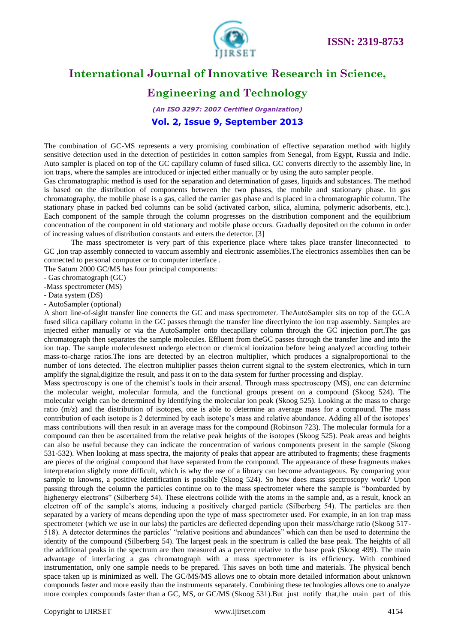

### **Engineering and Technology**

*(An ISO 3297: 2007 Certified Organization)* **Vol. 2, Issue 9, September 2013**

The combination of GC-MS represents a very promising combination of effective separation method with highly sensitive detection used in the detection of pesticides in cotton samples from Senegal, from Egypt, Russia and Indie. Auto sampler is placed on top of the GC capillary column of fused silica. GC converts directly to the assembly line, in ion traps, where the samples are introduced or injected either manually or by using the auto sampler people.

Gas chromatographic method is used for the separation and determination of gases, liquids and substances. The method is based on the distribution of components between the two phases, the mobile and stationary phase. In gas chromatography, the mobile phase is a gas, called the carrier gas phase and is placed in a chromatographic column. The stationary phase in packed bed columns can be solid (activated carbon, silica, alumina, polymeric adsorbents, etc.). Each component of the sample through the column progresses on the distribution component and the equilibrium concentration of the component in old stationary and mobile phase occurs. Gradually deposited on the column in order of increasing values of distribution constants and enters the detector. [3]

The mass spectrometer is very part of this experience place where takes place transfer lineconnected to GC ,ion trap assembly connected to vaccum assembly and electronic assemblies.The electronics assemblies then can be connected to personal computer or to computer interface .

The Saturn 2000 GC/MS has four principal components:

- Gas chromatograph (GC)

-Mass spectrometer (MS)

- Data system (DS)

- AutoSampler (optional)

A short line-of-sight transfer line connects the GC and mass spectrometer. TheAutoSampler sits on top of the GC.A fused silica capillary column in the GC passes through the transfer line directlyinto the ion trap assembly. Samples are injected either manually or via the AutoSampler onto thecapillary column through the GC injection port.The gas chromatograph then separates the sample molecules. Effluent from theGC passes through the transfer line and into the ion trap. The sample moleculesnext undergo electron or chemical ionization before being analyzed according totheir mass-to-charge ratios.The ions are detected by an electron multiplier, which produces a signalproportional to the number of ions detected. The electron multiplier passes theion current signal to the system electronics, which in turn amplify the signal,digitize the result, and pass it on to the data system for further processing and display.

Mass spectroscopy is one of the chemist's tools in their arsenal. Through mass spectroscopy (MS), one can determine the molecular weight, molecular formula, and the functional groups present on a compound (Skoog 524). The molecular weight can be determined by identifying the molecular ion peak (Skoog 525). Looking at the mass to charge ratio (m/z) and the distribution of isotopes, one is able to determine an average mass for a compound. The mass contribution of each isotope is 2 determined by each isotope's mass and relative abundance. Adding all of the isotopes' mass contributions will then result in an average mass for the compound (Robinson 723). The molecular formula for a compound can then be ascertained from the relative peak heights of the isotopes (Skoog 525). Peak areas and heights can also be useful because they can indicate the concentration of various components present in the sample (Skoog 531-532). When looking at mass spectra, the majority of peaks that appear are attributed to fragments; these fragments are pieces of the original compound that have separated from the compound. The appearance of these fragments makes interpretation slightly more difficult, which is why the use of a library can become advantageous. By comparing your sample to knowns, a positive identification is possible (Skoog 524). So how does mass spectroscopy work? Upon passing through the column the particles continue on to the mass spectrometer where the sample is "bombarded by highenergy electrons" (Silberberg 54). These electrons collide with the atoms in the sample and, as a result, knock an electron off of the sample's atoms, inducing a positively charged particle (Silberberg 54). The particles are then separated by a variety of means depending upon the type of mass spectrometer used. For example, in an ion trap mass spectrometer (which we use in our labs) the particles are deflected depending upon their mass/charge ratio (Skoog 517- 518). A detector determines the particles' "relative positions and abundances" which can then be used to determine the identity of the compound (Silberberg 54). The largest peak in the spectrum is called the base peak. The heights of all the additional peaks in the spectrum are then measured as a percent relative to the base peak (Skoog 499). The main advantage of interfacing a gas chromatograph with a mass spectrometer is its efficiency. With combined instrumentation, only one sample needs to be prepared. This saves on both time and materials. The physical bench space taken up is minimized as well. The GC/MS/MS allows one to obtain more detailed information about unknown compounds faster and more easily than the instruments separately. Combining these technologies allows one to analyze more complex compounds faster than a GC, MS, or GC/MS (Skoog 531).But just notify that,the main part of this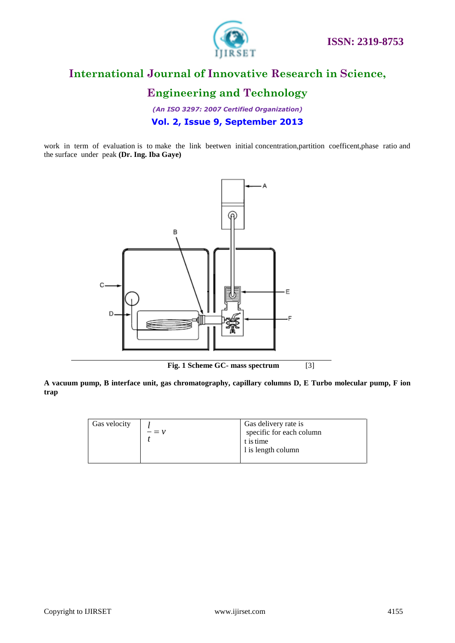

### **Engineering and Technology**

*(An ISO 3297: 2007 Certified Organization)* **Vol. 2, Issue 9, September 2013**

work in term of evaluation is to make the link beetwen initial concentration,partition coefficent,phase ratio and the surface under peak **(Dr. Ing. Iba Gaye)**



**Fig. 1 Scheme GC- mass spectrum** [3]

**A vacuum pump, B interface unit, gas chromatography, capillary columns D, E Turbo molecular pump, F ion trap**

| Gas velocity | $- = \nu$ | Gas delivery rate is<br>specific for each column<br>t is time<br>1 is length column |
|--------------|-----------|-------------------------------------------------------------------------------------|
|              |           |                                                                                     |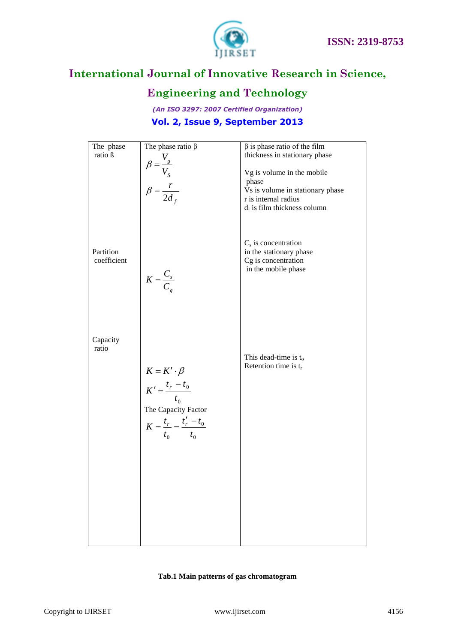



# **Engineering and Technology**

*(An ISO 3297: 2007 Certified Organization)* **Vol. 2, Issue 9, September 2013**

| The phase                | The phase ratio $\beta$                                                                                                       | $\beta$ is phase ratio of the film                                                                                                |
|--------------------------|-------------------------------------------------------------------------------------------------------------------------------|-----------------------------------------------------------------------------------------------------------------------------------|
| ratio ß                  |                                                                                                                               | thickness in stationary phase                                                                                                     |
|                          | $\beta = \frac{V_g}{V_S}$<br>$\beta = \frac{r}{2d_f}$                                                                         | Vg is volume in the mobile<br>phase<br>Vs is volume in stationary phase<br>r is internal radius<br>$d_f$ is film thickness column |
| Partition<br>coefficient | $K = \frac{C_s}{C_g}$                                                                                                         | $Cs$ is concentration<br>in the stationary phase<br>Cg is concentration<br>in the mobile phase                                    |
| Capacity<br>ratio        | $K = K' \cdot \beta$<br>$K' = \frac{t_r - t_0}{t_0}$<br>The Capacity Factor<br>$K = \frac{t_r}{t_0} = \frac{t'_r - t_0}{t_0}$ | This dead-time is $t_0$<br>Retention time is $t_r$                                                                                |
|                          |                                                                                                                               |                                                                                                                                   |

#### **Tab.1 Main patterns of gas chromatogram**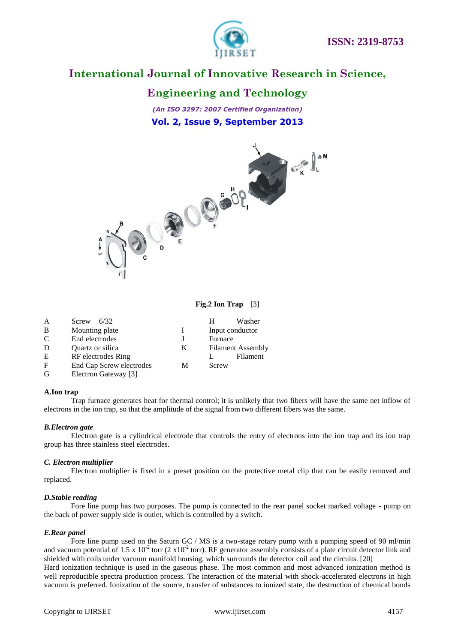

### **Engineering and Technology**

*(An ISO 3297: 2007 Certified Organization)* **Vol. 2, Issue 9, September 2013**



#### **Fig.2 Ion Trap** [3]

| A            | Screw $6/32$             |   | н       | Washer                   |
|--------------|--------------------------|---|---------|--------------------------|
| B            | Mounting plate           |   |         | Input conductor          |
| C            | End electrodes           |   | Furnace |                          |
| D            | Quartz or silica         | K |         | <b>Filament Assembly</b> |
| E            | RF electrodes Ring       |   |         | Filament                 |
| $\mathbf{F}$ | End Cap Screw electrodes | М | Screw   |                          |
| G            | Electron Gateway [3]     |   |         |                          |

#### **A.Ion trap**

Trap furnace generates heat for thermal control; it is unlikely that two fibers will have the same net inflow of electrons in the ion trap, so that the amplitude of the signal from two different fibers was the same.

#### *B.Electron gate*

Electron gate is a cylindrical electrode that controls the entry of electrons into the ion trap and its ion trap group has three stainless steel electrodes.

#### *C. Electron multiplier*

Electron multiplier is fixed in a preset position on the protective metal clip that can be easily removed and replaced.

#### *D.Stable reading*

Fore line pump has two purposes. The pump is connected to the rear panel socket marked voltage - pump on the back of power supply side is outlet, which is controlled by a switch.

#### *E.Rear panel*

Fore line pump used on the Saturn GC / MS is a two-stage rotary pump with a pumping speed of 90 ml/min and vacuum potential of 1.5 x  $10^{-2}$  torr (2 x10<sup>-2</sup> torr). RF generator assembly consists of a plate circuit detector link and shielded with coils under vacuum manifold housing, which surrounds the detector coil and the circuits. [20] Hard ionization technique is used in the gaseous phase. The most common and most advanced ionization method is well reproducible spectra production process. The interaction of the material with shock-accelerated electrons in high vacuum is preferred. Ionization of the source, transfer of substances to ionized state, the destruction of chemical bonds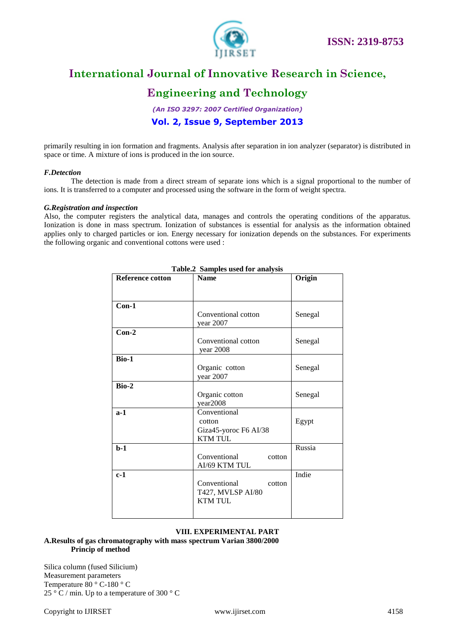

### **Engineering and Technology**

*(An ISO 3297: 2007 Certified Organization)* **Vol. 2, Issue 9, September 2013**

primarily resulting in ion formation and fragments. Analysis after separation in ion analyzer (separator) is distributed in space or time. A mixture of ions is produced in the ion source.

#### *F.Detection*

The detection is made from a direct stream of separate ions which is a signal proportional to the number of ions. It is transferred to a computer and processed using the software in the form of weight spectra.

#### *G.Registration and inspection*

Also, the computer registers the analytical data, manages and controls the operating conditions of the apparatus. Ionization is done in mass spectrum. Ionization of substances is essential for analysis as the information obtained applies only to charged particles or ion. Energy necessary for ionization depends on the substances. For experiments the following organic and conventional cottons were used :

| Table.2 Samples used for analysis |                        |         |  |  |  |
|-----------------------------------|------------------------|---------|--|--|--|
| <b>Reference cotton</b>           | <b>Name</b>            | Origin  |  |  |  |
|                                   |                        |         |  |  |  |
|                                   |                        |         |  |  |  |
| $Con-1$                           |                        |         |  |  |  |
|                                   | Conventional cotton    | Senegal |  |  |  |
|                                   | year 2007              |         |  |  |  |
| $Con-2$                           |                        |         |  |  |  |
|                                   | Conventional cotton    | Senegal |  |  |  |
|                                   | year 2008              |         |  |  |  |
| Bio-1                             |                        |         |  |  |  |
|                                   | Organic cotton         | Senegal |  |  |  |
|                                   | year 2007              |         |  |  |  |
| <b>Bio-2</b>                      |                        |         |  |  |  |
|                                   | Organic cotton         | Senegal |  |  |  |
|                                   | year2008               |         |  |  |  |
| $a-1$                             | Conventional           |         |  |  |  |
|                                   | cotton                 | Egypt   |  |  |  |
|                                   | Giza45-yoroc F6 AI/38  |         |  |  |  |
|                                   | <b>KTM TUL</b>         |         |  |  |  |
| $b-1$                             |                        | Russia  |  |  |  |
|                                   | Conventional<br>cotton |         |  |  |  |
|                                   | AI/69 KTM TUL          |         |  |  |  |
| $c-1$                             |                        | Indie   |  |  |  |
|                                   | Conventional<br>cotton |         |  |  |  |
|                                   | T427, MVLSP AI/80      |         |  |  |  |
|                                   | <b>KTM TUL</b>         |         |  |  |  |
|                                   |                        |         |  |  |  |
|                                   |                        |         |  |  |  |

#### **Table.2 Samples used for analysis**

#### **VIII. EXPERIMENTAL PART**

#### **A.Results of gas chromatography with mass spectrum Varian 3800/2000 Princip of method**

Silica column (fused Silicium) Measurement parameters Temperature 80 ° C-180 ° C 25 ° C / min. Up to a temperature of 300 ° C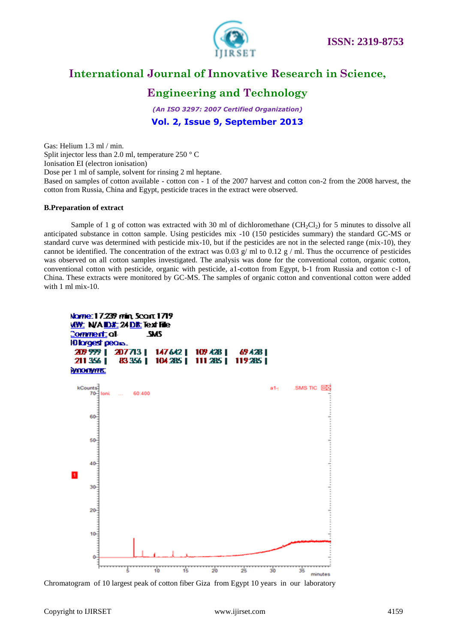

### **Engineering and Technology**

*(An ISO 3297: 2007 Certified Organization)* **Vol. 2, Issue 9, September 2013**

Gas: Helium 1.3 ml / min. Split injector less than 2.0 ml, temperature 250 ° C Ionisation EI (electron ionisation) Dose per 1 ml of sample, solvent for rinsing 2 ml heptane. Based on samples of cotton available - cotton con - 1 of the 2007 harvest and cotton con-2 from the 2008 harvest, the cotton from Russia, China and Egypt, pesticide traces in the extract were observed.

#### **B.Preparation of extract**

Sample of 1 g of cotton was extracted with 30 ml of dichloromethane (CH<sub>2</sub>Cl<sub>2</sub>) for 5 minutes to dissolve all anticipated substance in cotton sample. Using pesticides mix -10 (150 pesticides summary) the standard GC-MS or standard curve was determined with pesticide mix-10, but if the pesticides are not in the selected range (mix-10), they cannot be identified. The concentration of the extract was 0.03 g/ ml to 0.12 g / ml. Thus the occurrence of pesticides was observed on all cotton samples investigated. The analysis was done for the conventional cotton, organic cotton, conventional cotton with pesticide, organic with pesticide, a1-cotton from Egypt, b-1 from Russia and cotton c-1 of China. These extracts were monitored by GC-MS. The samples of organic cotton and conventional cotton were added with 1 ml mix-10.



Chromatogram of 10 largest peak of cotton fiber Giza from Egypt 10 years in our laboratory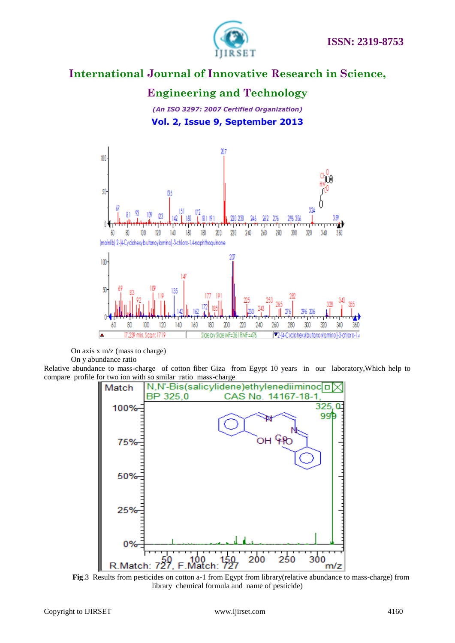

### **Engineering and Technology**

*(An ISO 3297: 2007 Certified Organization)* **Vol. 2, Issue 9, September 2013**



On axis x m/z (mass to charge) On y abundance ratio

Relative abundance to mass-charge of cotton fiber Giza from Egypt 10 years in our laboratory,Which help to compare profile for two ion with so smilar ratio mass-charge



**Fig**.3 Results from pesticides on cotton a-1 from Egypt from library(relative abundance to mass-charge) from library chemical formula and name of pesticide)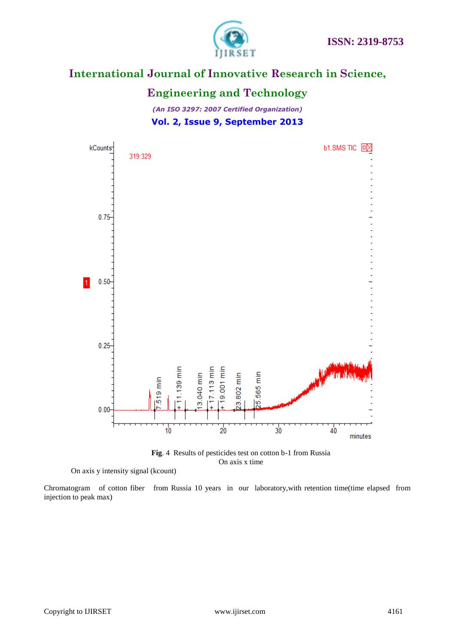



#### **Engineering and Technology**

*(An ISO 3297: 2007 Certified Organization)* **Vol. 2, Issue 9, September 2013**



**Fig**. 4 Results of pesticides test on cotton b-1 from Russia On axis x time

Chromatogram of cotton fiber from Russia 10 years in our laboratory,with retention time(time elapsed from injection to peak max)

On axis y intensity signal (kcount)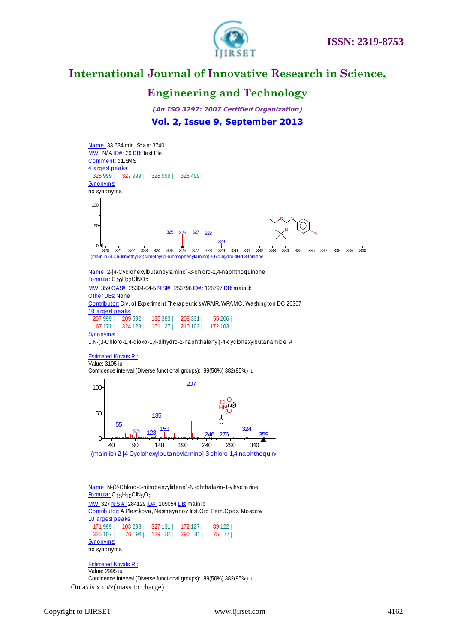

### **Engineering and Technology**

*(An ISO 3297: 2007 Certified Organization)* **Vol. 2, Issue 9, September 2013**



Formula: C<sub>20</sub>H<sub>22</sub>ClNO<sub>3</sub> <u>Name:</u> 2-[4-Cyclohexylbutanoylamino]-3-chloro-1,4-naphthoqui<br><u>Formula:</u> C<sub>20</sub>H<sub>22</sub>CINO<sub>3</sub><br><u>MW: 359 CAS#:</u> 25304-04-5 <u>NIST#:</u> 253796 <u>ID#:</u> 126797 <u>DB:</u> mainlib<br>Other DBs: None

**Other DBs: None** MW: 359 CAS#: 25304-04-5 NIST#: 253796 ID#: 126797 <u>DB:</u> mainlib<br><u>Other DBs:</u> None<br><u>Contributor:</u> Div. of Experiment Therapeutics WRAIR, WRAMC, Washington DC 20307 10 largest peaks: 207 999 | 209 592 | 135 383 | 208 331 | 55 206 | 67 171 | 324 128 | 151 127 | 210 103 | 172 103 | **Synonyms:** 

1.N-( 3-Chloro-1,4-dioxo-1,4-dihydro-2-naphthalenyl)-4-c yc lohexylbutanamide #

#### Estimated Kovats RI:

Value: 3105 iu Confidence interval (Diverse functional groups): 89(50%) 382(95%) iu



<u>Name:</u> N-(2-Chloro-5-nitrobenzylidene)-N'-phthalazin-1-ylhydrazine<br>Formula: C15H10ClN=Oo Formula: C15H10ClN5O2 <mark>Name:</mark> N-(2-Chloro-5-nitrobenzylidene)-N'-phtl<br><u>Formula:</u> C<sub>15</sub>H<sub>10</sub>ClN<sub>5</sub>O<sub>2</sub><br><u>MW: 327 NIST# :</u> 284129 <u>ID# :</u> 109054 <u>DB:</u> mainlib<br>Contributor: A Pleshkova, Nesmevanov Inst Or

MW: 327 NIST#: 284129 ID#: 109054 DB: mainlib<br>Contributor: A.Pleshkova, Nesmeyanov Inst.Org.Elem.Cpds, Moscow 10 largest peaks: 171 999 | 103 298 | 327 131 | 172 127 | 89 122 | 325 107 | 76 94 | 129 84 | 290 81 | 75 77 | **Synonyms:** no synonyms.

Estimated Kovats RI: Value: 2995 iu

On axis x m/z(mass to charge)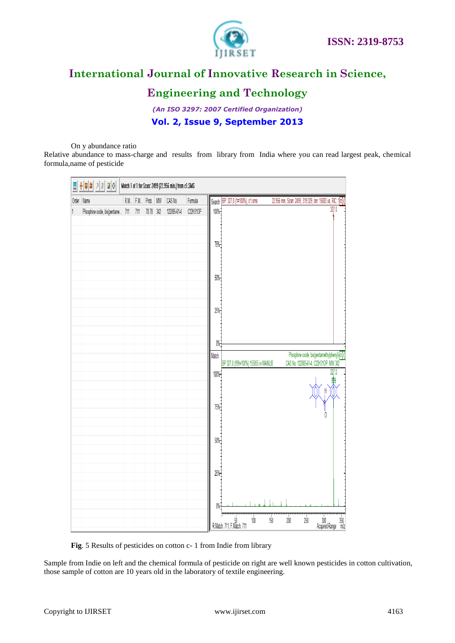

### **Engineering and Technology**

*(An ISO 3297: 2007 Certified Organization)* **Vol. 2, Issue 9, September 2013**

On y abundance ratio

Relative abundance to mass-charge and results from library from India where you can read largest peak, chemical formula,name of pesticide

| ◆ 미희 기계 ■ 이<br>Match 1 of 1 for Scan: 2499 (22.956 min.) from c1.SMS<br>쁣 |                                  |  |         |           |                 |             |          |                                                                                                                                                                                                     |
|---------------------------------------------------------------------------|----------------------------------|--|---------|-----------|-----------------|-------------|----------|-----------------------------------------------------------------------------------------------------------------------------------------------------------------------------------------------------|
|                                                                           | Order Name                       |  | R.M F.M | Prob.     | $\texttt{MW}{}$ | CAS No.     | Formula  | Search BP: 327,0 (1=100%), c1.sms<br>22.956 min, Scan: 2499, 319:329, Ion: 15083 us, RIC: 1 0                                                                                                       |
|                                                                           | Phosphine oxide, bis(pentame 711 |  | 711     | 78.78 342 |                 | 122085-61-4 | C22H31OP | 327.0<br>100%<br>75%<br>50%<br>25%<br>$0\%$                                                                                                                                                         |
|                                                                           |                                  |  |         |           |                 |             |          | Phosphine oxide, bis(pentamethylphenyl)-DX<br>Match<br>CAS No. 122085-61-4, C22H31OP, MW 342<br>BP 327,0 (999=100%) 155055 in MAINLIB<br>327.0<br>100%<br>H<br>75%<br>50%<br>25%<br>$0\%$           |
|                                                                           |                                  |  |         |           |                 |             |          | 250<br>200<br>$\begin{array}{r} 300 \\ \text{Acquired Range} \\ \text{m} \\ \end{array} \begin{array}{r} 350 \\ \text{m} \\ \text{z} \end{array}$<br>100<br>150<br>50<br>R.Match: 711, F.Match: 711 |

**Fig**. 5 Results of pesticides on cotton c- 1 from Indie from library

Sample from Indie on left and the chemical formula of pesticide on right are well known pesticides in cotton cultivation, those sample of cotton are 10 years old in the laboratory of textile engineering.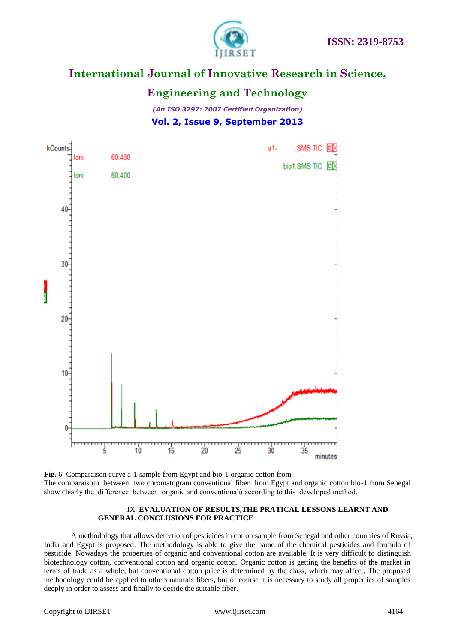

### **Engineering and Technology**

*(An ISO 3297: 2007 Certified Organization)* **Vol. 2, Issue 9, September 2013**



**Fig.** 6 Comparaison curve a-1 sample from Egypt and bio-1 organic cotton from The comparaisom between two chromatogram conventional fiber from Egypt and organic cotton bio-1 from Senegal show clearly the difference between organic and conventionalů according to this developed method.

#### IX. **EVALUATION OF RESULTS,THE PRATICAL LESSONS LEARNT AND GENERAL CONCLUSIONS FOR PRACTICE**

A methodology that allows detection of pesticides in cotton sample from Senegal and other countries of Russia, India and Egypt is proposed. The methodology is able to give the name of the chemical pesticides and formula of pesticide. Nowadays the properties of organic and conventional cotton are available. It is very difficult to distinguish biotechnology cotton, conventional cotton and organic cotton. Organic cotton is getting the benefits of the market in terms of trade as a whole, but conventional cotton price is determined by the class, which may affect. The proposed methodology could be applied to others naturals fibers, but of course it is necessary to study all properties of samples deeply in order to assess and finally to decide the suitable fiber.